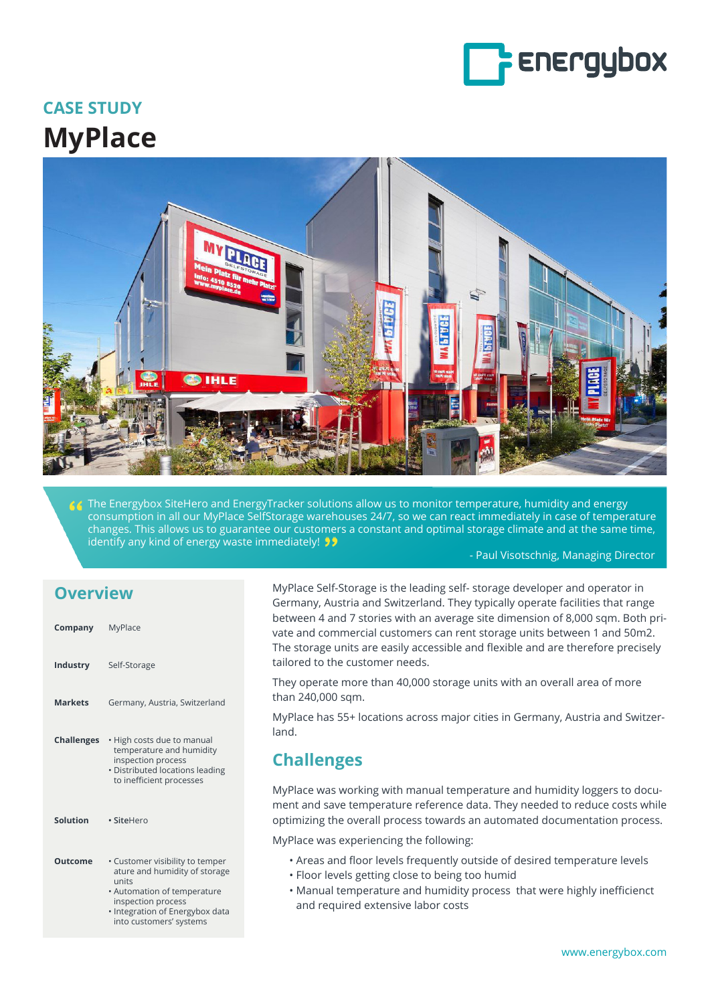

# **CASE STUDY MyPlace**



The Energybox SiteHero and EnergyTracker solutions allow us to monitor temperature, humidity and energy consumption in all our MyPlace SelfStorage warehouses 24/7, so we can react immediately in case of temperature changes. This allows us to guarantee our customers a constant and optimal storage climate and at the same time, identify any kind of energy waste immediately!

#### - Paul Visotschnig, Managing Director

#### **Overview**

| Company           | MyPlace                                                                                                                                     |
|-------------------|---------------------------------------------------------------------------------------------------------------------------------------------|
| Industry          | Self-Storage                                                                                                                                |
| <b>Markets</b>    | Germany, Austria, Switzerland                                                                                                               |
| <b>Challenges</b> | • High costs due to manual<br>temperature and humidity<br>inspection process<br>· Distributed locations leading<br>to inefficient processes |
| Solution          | • SiteHero                                                                                                                                  |
| Outcome           | • Customer visibility to temper<br>ature and humidity of storage<br>units<br>• Automation of temperature                                    |

 inspection process • Integration of Energybox data into customers' systems

MyPlace Self-Storage is the leading self- storage developer and operator in Germany, Austria and Switzerland. They typically operate facilities that range between 4 and 7 stories with an average site dimension of 8,000 sqm. Both private and commercial customers can rent storage units between 1 and 50m2. The storage units are easily accessible and flexible and are therefore precisely tailored to the customer needs.

They operate more than 40,000 storage units with an overall area of more than 240,000 sqm.

MyPlace has 55+ locations across major cities in Germany, Austria and Switzerland.

### **Challenges**

MyPlace was working with manual temperature and humidity loggers to document and save temperature reference data. They needed to reduce costs while optimizing the overall process towards an automated documentation process.

MyPlace was experiencing the following:

- Areas and floor levels frequently outside of desired temperature levels
- Floor levels getting close to being too humid
- Manual temperature and humidity process that were highly inefficienct and required extensive labor costs